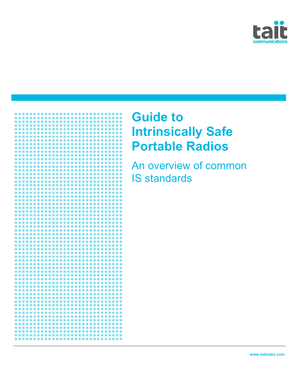



# **Guide to Intrinsically Safe Portable Radios**

An overview of common IS standards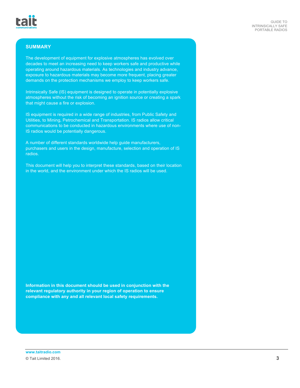# **SUMMARY**

The development of equipment for explosive atmospheres has evolved over decades to meet an increasing need to keep workers safe and productive while operating around hazardous materials. As technologies and industry advance, exposure to hazardous materials may become more frequent, placing greater demands on the protection mechanisms we employ to keep workers safe.

Intrinsically Safe (IS) equipment is designed to operate in potentially explosive atmospheres without the risk of becoming an ignition source or creating a spark that might cause a fire or explosion.

IS equipment is required in a wide range of industries, from Public Safety and Utilities, to Mining, Petrochemical and Transportation. IS radios allow critical communications to be conducted in hazardous environments where use of non-IS radios would be potentially dangerous.

A number of different standards worldwide help guide manufacturers, purchasers and users in the design, manufacture, selection and operation of IS radios.

This document will help you to interpret these standards, based on their location in the world, and the environment under which the IS radios will be used.

**Information in this document should be used in conjunction with the relevant regulatory authority in your region of operation to ensure compliance with any and all relevant local safety requirements.**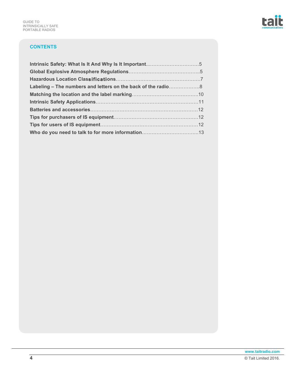# **CONTENTS**

| Labeling – The numbers and letters on the back of the radio8 |  |
|--------------------------------------------------------------|--|
|                                                              |  |
|                                                              |  |
|                                                              |  |
|                                                              |  |
|                                                              |  |
|                                                              |  |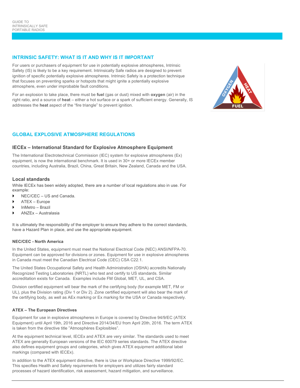### **INTRINSIC SAFETY: WHAT IS IT AND WHY IS IT IMPORTANT**

For users or purchasers of equipment for use in potentially explosive atmospheres, Intrinsic Safety (IS) is likely to be a key requirement. Intrinsically Safe radios are designed to prevent ignition of specific potentially explosive atmospheres. Intrinsic Safety is a protection technique that focuses on preventing sparks or hotspots that might ignite a potentially explosive atmosphere, even under improbable fault conditions.

For an explosion to take place, there must be **fuel** (gas or dust) mixed with **oxygen** (air) in the right ratio, and a source of **heat** – either a hot surface or a spark of sufficient energy. Generally, IS addresses the **heat** aspect of the "fire triangle" to prevent ignition.



# **GLOBAL EXPLOSIVE ATMOSPHERE REGULATIONS**

#### **IECEx – International Standard for Explosive Atmosphere Equipment**

The International Electrotechnical Commission (IEC) system for explosive atmospheres (Ex) equipment, is now the international benchmark. It is used in 30+ or more IECEx member countries, including Australia, Brazil, China, Great Britain, New Zealand, Canada and the USA.

#### **Local standards**

While IECEx has been widely adopted, there are a number of local regulations also in use. For example:

- ▶ NEC/CEC US and Canada.
- } ATEX Europe
- InMetro Brazil
- } ANZEx Australasia

It is ultimately the responsibility of the employer to ensure they adhere to the correct standards, have a Hazard Plan in place, and use the appropriate equipment.

#### **NEC/CEC - North America**

In the United States, equipment must meet the National Electrical Code (NEC) ANSI/NFPA-70. Equipment can be approved for divisions or zones. Equipment for use in explosive atmospheres in Canada must meet the Canadian Electrical Code (CEC) CSA C22.1.

The United States Occupational Safety and Health Administration (OSHA) accredits Nationally Recognized Testing Laboratories (NRTL) who test and certify to US standards. Similar accreditation exists for Canada. Examples include FM Global, MET, UL, and CSA.

Division certified equipment will bear the mark of the certifying body (for example MET, FM or UL), plus the Division rating (Div 1 or Div 2). Zone certified equipment will also bear the mark of the certifying body, as well as AEx marking or Ex marking for the USA or Canada respectively.

#### **ATEX – The European Directives**

Equipment for use in explosive atmospheres in Europe is covered by Directive 94/9/EC (ATEX Equipment) until April 19th, 2016 and Directive 2014/34/EU from April 20th, 2016. The term ATEX is taken from the directive title "Atmosphères Explosibles".

At the equipment technical level, IECEx and ATEX are very similar. The standards used to meet ATEX are generally European versions of the IEC 60079 series standards. The ATEX directive also defines equipment groups and categories, which gives ATEX equipment additional label markings (compared with IECEx).

In addition to the ATEX equipment directive, there is Use or Workplace Directive 1999/92/EC. This specifies Health and Safety requirements for employers and utilizes fairly standard processes of hazard identification, risk assessment, hazard mitigation, and surveillance.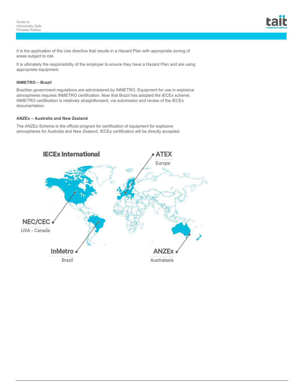It is the application of the Use directive that results in a Hazard Plan with appropriate zoning of areas subject to risk.

It is ultimately the responsibility of the employer to ensure they have a Hazard Plan and are using appropriate equipment.

# **INMETRO – Brazil**

Brazilian government regulations are administered by INMETRO. Equipment for use in explosive atmospheres requires INMETRO certification. Now that Brazil has adopted the IECEx scheme, INMETRO certification is relatively straightforward, via submission and review of the IECEx documentation.

#### **ANZEx – Australia and New Zealand**

The ANZEx Scheme is the official program for certification of equipment for explosive atmospheres for Australia and New Zealand. IECEx certification will be directly accepted.

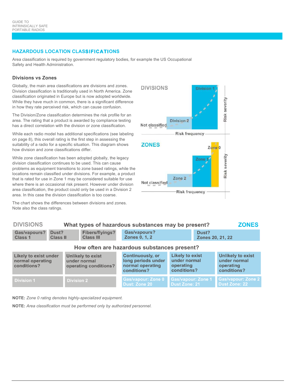# **HAZARDOUS LOCATION CLASSIFICATIONS**

Area classification is required by government regulatory bodies, for example the US Occupational Safety and Health Administration.

# **Divisions vs Zones**

**DIVIOLONIC** 

Globally, the main area classifications are divisions and zones. Division classification is traditionally used in North America. Zone classification originated in Europe but is now adopted worldwide. While they have much in common, there is a significant difference in how they rate perceived risk, which can cause confusion.

The Division/Zone classification determines the risk profile for an area. The rating that a product is awarded by compliance testing has a direct correlation with the division or zone classification.

While each radio model has additional specifications (see labeling on page 8), this overall rating is the first step in assessing the suitability of a radio for a specific situation. This diagram shows how division and zone classifications differ.

While zone classification has been adopted globally, the legacy division classification continues to be used. This can cause problems as equipment transitions to zone based ratings, while the locations remain classified under divisions. For example, a product that is rated for use in Zone 1 may be considered suitable for use where there is an occasional risk present. However under division area classification, the product could only be used in a Division 2 area. In this case the division classification is too coarse.

The chart shows the differences between divisions and zones. Note also the class ratings.



Dust Zone: 21

 $\sim$ 

**Dust Zone: 22** 

| <b>UIVIOIUNJ</b>                                                |                                                                   | <u>vinat types of nazardous substances may be present?</u><br><b>ZUNES</b> |                                            |                                                                                                                                                        |                                                                 |                                                                      |                           |  |
|-----------------------------------------------------------------|-------------------------------------------------------------------|----------------------------------------------------------------------------|--------------------------------------------|--------------------------------------------------------------------------------------------------------------------------------------------------------|-----------------------------------------------------------------|----------------------------------------------------------------------|---------------------------|--|
| <b>Gas/vapours?</b><br><b>Class 1</b>                           | Dust?<br><b>Class II</b>                                          |                                                                            | <b>Fibers/flyings?</b><br><b>Class III</b> |                                                                                                                                                        | Gas/vapours?<br><b>Zones 0, 1, 2</b>                            |                                                                      | Dust?<br>Zones 20, 21, 22 |  |
| How often are hazardous substances present?                     |                                                                   |                                                                            |                                            |                                                                                                                                                        |                                                                 |                                                                      |                           |  |
| <b>Likely to exist under</b><br>normal operating<br>conditions? | <b>Unlikely to exist</b><br>under normal<br>operating conditions? |                                                                            |                                            | <b>Likely to exist</b><br><b>Continuously, or</b><br>long periods under<br>under normal<br>normal operating<br>operating<br>conditions?<br>conditions? |                                                                 | <b>Unlikely to exist</b><br>under normal<br>operating<br>conditions? |                           |  |
| <b>Division 1</b>                                               |                                                                   | Division 2                                                                 |                                            |                                                                                                                                                        | <b>Gas/vapour: Zone 0 Gas/vapour: Zone 1 Gas/vapour: Zone 2</b> |                                                                      |                           |  |

Dust: Zone 20

 $\mathbf{M}$ 

**NOTE:** *Zone 0 rating denotes highly-specialized equipment.*

**NOTE:** *Area classification must be performed only by authorized personnel.*

**Division 2**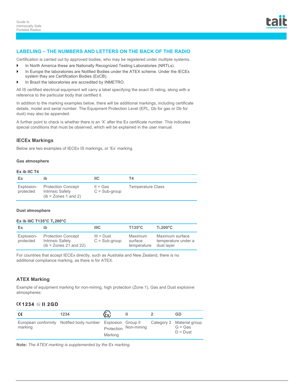

#### **LABELING – THE NUMBERS AND LETTERS ON THE BACK OF THE RADIO**

Certification is carried out by approved bodies, who may be registered under multiple systems.

- } In North America these are Nationally Recognized Testing Laboratories (NRTLs).
- In Europe the laboratories are Notified Bodies under the ATEX scheme. Under the IECEx system they are Certification Bodies (ExCB).
- } In Brazil the laboratories are accredited by INMETRO.

All IS certified electrical equipment will carry a label specifying the exact IS rating, along with a reference to the particular body that certified it.

In addition to the marking examples below, there will be additional markings, including certificate details, model and serial number. The Equipment Protection Level (EPL, Gb for gas or Db for dust) may also be appended.

A further point to check is whether there is an 'X' after the Ex certificate number. This indicates special conditions that must be observed, which will be explained in the user manual.

### **IECEx Markings**

Below are two examples of IECEx IS markings, or 'Ex' marking.

#### **Gas atmosphere**

#### **Ex ib IIC T4**

| Ex                      |                                                                         | IIC.                          | T4.                      |
|-------------------------|-------------------------------------------------------------------------|-------------------------------|--------------------------|
| Explosion-<br>protected | <b>Protection Concept</b><br>Intrinsic Safety<br>$(ib = Zones 1 and 2)$ | $II = Gas$<br>$C = Sub-group$ | <b>Temperature Class</b> |

#### **Dust atmosphere**

#### **Ex ib IIIC T135°C TL200°C**

| Ex                      | ib                                                                       | <b>IIIC</b>                     | $T135^{\circ}$ C                  | $T\text{L}200^{\circ}\text{C}$                       |
|-------------------------|--------------------------------------------------------------------------|---------------------------------|-----------------------------------|------------------------------------------------------|
| Explosion-<br>protected | <b>Protection Concept</b><br>Intrinsic Safety<br>$(b = Zones 21 and 22)$ | $III = Dust$<br>$C = Sub-group$ | Maximum<br>surface<br>temperature | Maximum surface<br>temperature under a<br>dust layer |

For countries that accept IECEx directly, such as Australia and New Zealand, there is no additional compliance marking, as there is for ATEX.

#### **ATEX Marking**

Example of equipment marking for non-mining, high protection (Zone 1), Gas and Dust explosive atmospheres:

# **1234 II 2GD**

| €       | 1234                                                        | (Ex)    |                       | GD                                                   |
|---------|-------------------------------------------------------------|---------|-----------------------|------------------------------------------------------|
| marking | European conformity Notified body number Explosion Group II | Marking | Protection Non-mining | Category 2 Material group<br>$G = Gas$<br>$D = Dust$ |

**Note:** *The ATEX marking is supplemented by the Ex marking.*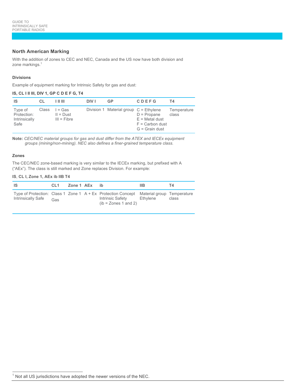# **North American Marking**

With the addition of zones to CEC and NEC, Canada and the US now have both division and zone markings. 1

#### **Divisions**

Example of equipment marking for Intrinsic Safety for gas and dust:

|  |  |  |  | IS, CL I II III, DIV 1, GP C D E F G, T4 |  |  |  |  |  |  |  |  |
|--|--|--|--|------------------------------------------|--|--|--|--|--|--|--|--|
|--|--|--|--|------------------------------------------|--|--|--|--|--|--|--|--|

| IS                                              | CL    | 1 II III                                | <b>DIV I</b> | GP                                       | <b>CDEFG</b>                                                               | Τ4                   |
|-------------------------------------------------|-------|-----------------------------------------|--------------|------------------------------------------|----------------------------------------------------------------------------|----------------------|
| Type of<br>Protection:<br>Intrinsically<br>Safe | Class | l = Gas<br>$II = Dust$<br>$III = Fibre$ |              | Division 1 Material group $C =$ Ethylene | $D =$ Propane<br>$E =$ Metal dust<br>$F =$ Carbon dust<br>$G =$ Grain dust | Temperature<br>class |

**Note:** *CEC/NEC material groups for gas and dust differ from the ATEX and IECEx equipment groups (mining/non-mining). NEC also defines a finer-grained temperature class.*

#### **Zones**

The CEC/NEC zone-based marking is very similar to the IECEx marking, but prefixed with A ("AEx"). The class is still marked and Zone replaces Division. For example:

#### **IS**, **CL I, Zone 1, AEx ib IIB T4**

| - IS                      | CL <sub>1</sub> | Zone 1 AEx ib |                                                                                                                                               | IIB. | T4.   |
|---------------------------|-----------------|---------------|-----------------------------------------------------------------------------------------------------------------------------------------------|------|-------|
| <b>Intrinsically Safe</b> | Gas             |               | Type of Protection: Class 1 Zone 1 A + Ex Protection Concept Material group Temperature<br>Intrinsic Safety Ethylene<br>$(b = Zones 1 and 2)$ |      | class |

 $\overline{\phantom{a}}$ Not all US jurisdictions have adopted the newer versions of the NEC.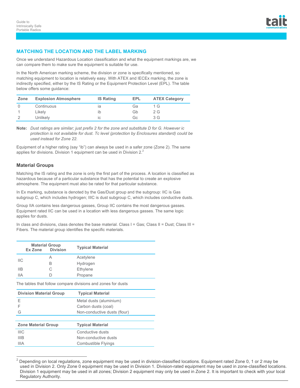# **MATCHING THE LOCATION AND THE LABEL MARKING**

Once we understand Hazardous Location classification and what the equipment markings are, we can compare them to make sure the equipment is suitable for use.

In the North American marking scheme, the division or zone is specifically mentioned, so matching equipment to location is relatively easy. With ATEX and IECEx marking, the zone is indirectly specified, either by the IS Rating or the Equipment Protection Level (EPL). The table below offers some guidance:

| Zone | <b>Explosion Atmosphere</b> | <b>IS Rating</b> | EPL | <b>ATEX Category</b> |
|------|-----------------------------|------------------|-----|----------------------|
|      | Continuous                  | ıa               | Ga  | 1 G                  |
|      | Likelv                      |                  | Gb  | 2 G                  |
|      | Unlikelv                    | IC               | GG  | 3G                   |

**Note:** *Dust ratings are similar; just prefix 2 for the zone and substitute D for G. However ic protection is not available for dust. Tc level (protection by Enclosures standard) could be used instead for Zone 22.*

Equipment of a higher rating (say "ib") can always be used in a safer zone (Zone 2). The same applies for divisions. Division 1 equipment can be used in Division  $2<sup>2</sup>$ 

# **Material Groups**

 $\overline{a}$ 

Matching the IS rating and the zone is only the first part of the process. A location is classified as hazardous because of a particular substance that has the potential to create an explosive atmosphere. The equipment must also be rated for that particular substance.

In Ex marking, substance is denoted by the Gas/Dust group and the subgroup: IIC is Gas subgroup C, which includes hydrogen; IIIC is dust subgroup C, which includes conductive dusts.

Group IIA contains less dangerous gasses, Group IIC contains the most dangerous gasses. Equipment rated IIC can be used in a location with less dangerous gasses. The same logic applies for dusts.

In class and divisions, class denotes the base material. Class  $I = Gas$ ; Class II = Dust; Class III = Fibers. The material group identifies the specific materials.

|     | <b>Material Group</b><br><b>Division</b><br>Ex Zone |    | <b>Typical Material</b> |
|-----|-----------------------------------------------------|----|-------------------------|
| ШC  |                                                     | Α  | Acetylene               |
|     |                                                     | В  | Hydrogen                |
| IIB |                                                     | С  | Ethylene                |
| IIА |                                                     | I) | Propane                 |

The tables that follow compare divisions and zones for dusts

| <b>Division Material Group</b> | <b>Typical Material</b>      |
|--------------------------------|------------------------------|
| F                              | Metal dusts (aluminium)      |
| F                              | Carbon dusts (coal)          |
| G                              | Non-conductive dusts (flour) |
|                                |                              |
| <b>Zone Material Group</b>     | <b>Typical Material</b>      |
| <b>IIIC</b>                    | Conductive dusts             |
| <b>IIIB</b>                    | Non-conductive dusts         |
| IIIA                           | Combustible Flyings          |
|                                |                              |

<sup>2</sup> Depending on local regulations, zone equipment may be used in division-classified locations. Equipment rated Zone 0, 1 or 2 may be used in Division 2. Only Zone 0 equipment may be used in Division 1. Division-rated equipment may be used in zone-classified locations. Division 1 equipment may be used in all zones; Division 2 equipment may only be used in Zone 2. It is important to check with your local Regulatory Authority.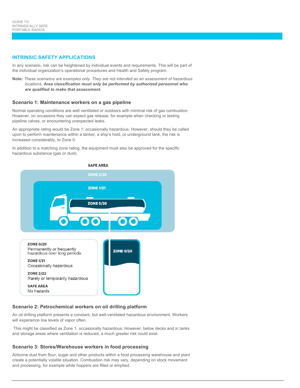#### **INTRINSIC SAFETY APPLICATIONS**

In any scenario, risk can be heightened by individual events and requirements. This will be part of the individual organization's operational procedures and Health and Safety program.

**Note:** *These scenarios are examples only. They are not intended as an assessment of hazardous locations. Area classification must only be performed by authorized personnel who are qualified to make that assessment.*

#### **Scenario 1: Maintenance workers on a gas pipeline**

Normal operating conditions are well ventilated or outdoors with minimal risk of gas combustion. However, on occasions they can expect gas release, for example when checking or testing pipeline valves, or encountering unexpected leaks.

An appropriate rating would be Zone 1: occasionally hazardous. However, should they be called upon to perform maintenance within a tanker, a ship's hold, or underground tank, the risk is increased considerably, to Zone 0.

In addition to a matching zone rating, the equipment must also be approved for the specific hazardous substance (gas or dust).



#### **Scenario 2: Petrochemical workers on oil drilling platform**

An oil drilling platform presents a constant, but well-ventilated hazardous environment. Workers will experience low levels of vapor often.

This might be classified as Zone 1: occasionally hazardous. However, below decks and in tanks and storage areas where ventilation is reduced, a much greater risk could exist.

#### **Scenario 3: Stores/Warehouse workers in food processing**

Airborne dust from flour, sugar and other products within a food processing warehouse and plant create a potentially volatile situation. Combustion risk may vary, depending on stock movement and processing, for example while hoppers are filled or emptied.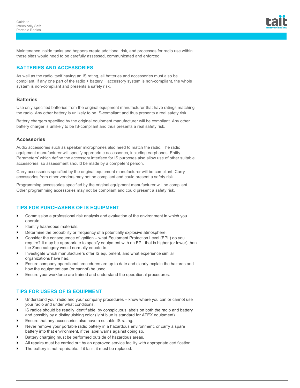

Maintenance inside tanks and hoppers create additional risk, and processes for radio use within these sites would need to be carefully assessed, communicated and enforced.

# **BATTERIES AND ACCESSORIES**

As well as the radio itself having an IS rating, all batteries and accessories must also be compliant. If any one part of the radio + battery + accessory system is non-compliant, the whole system is non-compliant and presents a safety risk.

#### **Batteries**

Use only specified batteries from the original equipment manufacturer that have ratings matching the radio. Any other battery is unlikely to be IS-compliant and thus presents a real safety risk.

Battery chargers specified by the original equipment manufacturer will be compliant. Any other battery charger is unlikely to be IS-compliant and thus presents a real safety risk.

#### **Accessories**

Audio accessories such as speaker microphones also need to match the radio. The radio equipment manufacturer will specify appropriate accessories, including earphones. Entity Parameters' which define the accessory interface for IS purposes also allow use of other suitable accessories, so assessment should be made by a competent person.

Carry accessories specified by the original equipment manufacturer will be compliant. Carry accessories from other vendors may not be compliant and could present a safety risk.

Programming accessories specified by the original equipment manufacturer will be compliant. Other programming accessories may not be compliant and could present a safety risk.

### **TIPS FOR PURCHASERS OF IS EQUIPMENT**

- } Commission a professional risk analysis and evaluation of the environment in which you operate.
- Identify hazardous materials.
- Determine the probability or frequency of a potentially explosive atmosphere.
- } Consider the consequence of ignition what Equipment Protection Level (EPL) do you require? It may be appropriate to specify equipment with an EPL that is higher (or lower) than the Zone category would normally equate to.
- Investigate which manufacturers offer IS equipment, and what experience similar organizations have had.
- } Ensure company operational procedures are up to date and clearly explain the hazards and how the equipment can (or cannot) be used.
- Ensure your workforce are trained and understand the operational procedures.

# **TIPS FOR USERS OF IS EQUIPMENT**

- Understand your radio and your company procedures know where you can or cannot use your radio and under what conditions.
- IS radios should be readily identifiable, by conspicuous labels on both the radio and battery and possibly by a distinguishing color (light blue is standard for ATEX equipment).
- Ensure that any accessories also have a suitable IS rating.
- Never remove your portable radio battery in a hazardous environment, or carry a spare battery into that environment, if the label warns against doing so.
- Battery charging must be performed outside of hazardous areas.
- All repairs must be carried out by an approved service facility with appropriate certification.
- The battery is not repairable. If it fails, it must be replaced.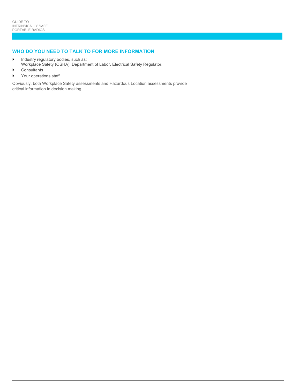# **WHO DO YOU NEED TO TALK TO FOR MORE INFORMATION**

- Industry regulatory bodies, such as:
- Workplace Safety (OSHA), Department of Labor, Electrical Safety Regulator.
- } Consultants
- } Your operations staff

Obviously, both Workplace Safety assessments and Hazardous Location assessments provide critical information in decision making.